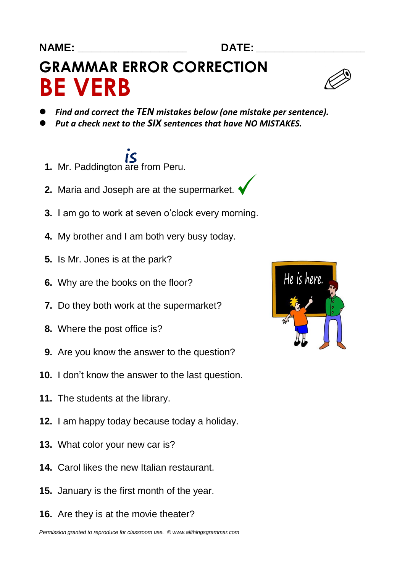## **GRAMMAR ERROR CORRECTION BE VERB**

- *Find and correct the TEN mistakes below (one mistake per sentence).*
- *Put a check next to the SIX sentences that have NO MISTAKES.*
- **1.** Mr. Paddington are from Peru.
- **2.** Maria and Joseph are at the supermarket.
- **3.** I am go to work at seven o'clock every morning.
- **4.** My brother and I am both very busy today.
- **5.** Is Mr. Jones is at the park?
- **6.** Why are the books on the floor?
- **7.** Do they both work at the supermarket?
- **8.** Where the post office is?
- **9.** Are you know the answer to the question?
- **10.** I don't know the answer to the last question.
- **11.** The students at the library.
- **12.** I am happy today because today a holiday.
- **13.** What color your new car is?
- **14.** Carol likes the new Italian restaurant.
- **15.** January is the first month of the year.
- **16.** Are they is at the movie theater?

*Permission granted to reproduce for classroom use. © www.allthingsgrammar.com*